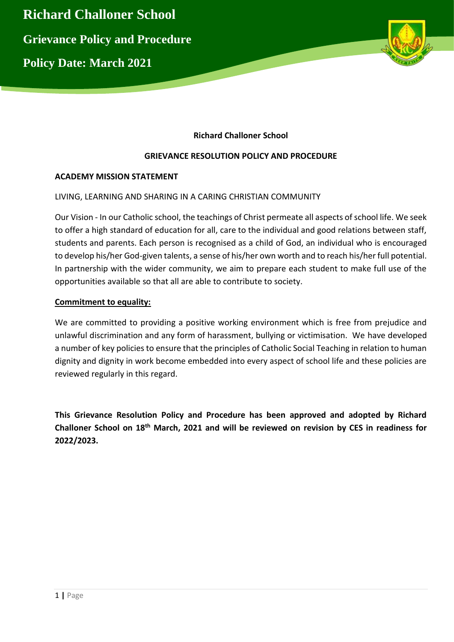



# **Richard Challoner School**

## **GRIEVANCE RESOLUTION POLICY AND PROCEDURE**

## **ACADEMY MISSION STATEMENT**

## LIVING, LEARNING AND SHARING IN A CARING CHRISTIAN COMMUNITY

Our Vision - In our Catholic school, the teachings of Christ permeate all aspects of school life. We seek to offer a high standard of education for all, care to the individual and good relations between staff, students and parents. Each person is recognised as a child of God, an individual who is encouraged to develop his/her God-given talents, a sense of his/her own worth and to reach his/her full potential. In partnership with the wider community, we aim to prepare each student to make full use of the opportunities available so that all are able to contribute to society.

#### **Commitment to equality:**

We are committed to providing a positive working environment which is free from prejudice and unlawful discrimination and any form of harassment, bullying or victimisation. We have developed a number of key policies to ensure that the principles of Catholic Social Teaching in relation to human dignity and dignity in work become embedded into every aspect of school life and these policies are reviewed regularly in this regard.

**This Grievance Resolution Policy and Procedure has been approved and adopted by Richard Challoner School on 18th March, 2021 and will be reviewed on revision by CES in readiness for 2022/2023.**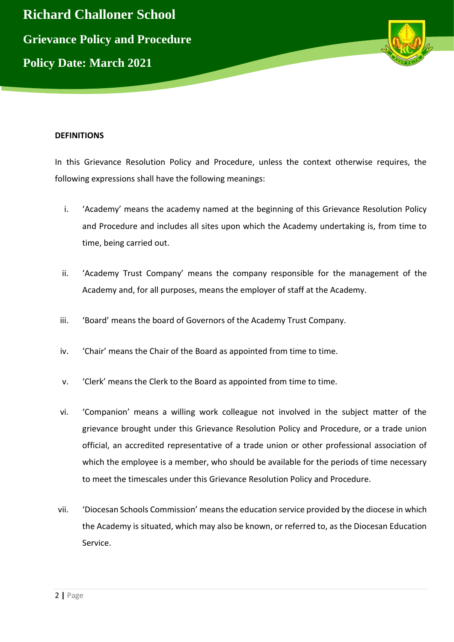

#### **DEFINITIONS**

In this Grievance Resolution Policy and Procedure, unless the context otherwise requires, the following expressions shall have the following meanings:

- i. 'Academy' means the academy named at the beginning of this Grievance Resolution Policy and Procedure and includes all sites upon which the Academy undertaking is, from time to time, being carried out.
- ii. 'Academy Trust Company' means the company responsible for the management of the Academy and, for all purposes, means the employer of staff at the Academy.
- iii. 'Board' means the board of Governors of the Academy Trust Company.
- iv. 'Chair' means the Chair of the Board as appointed from time to time.
- v. 'Clerk' means the Clerk to the Board as appointed from time to time.
- vi. 'Companion' means a willing work colleague not involved in the subject matter of the grievance brought under this Grievance Resolution Policy and Procedure, or a trade union official, an accredited representative of a trade union or other professional association of which the employee is a member, who should be available for the periods of time necessary to meet the timescales under this Grievance Resolution Policy and Procedure.
- vii. 'Diocesan Schools Commission' means the education service provided by the diocese in which the Academy is situated, which may also be known, or referred to, as the Diocesan Education Service.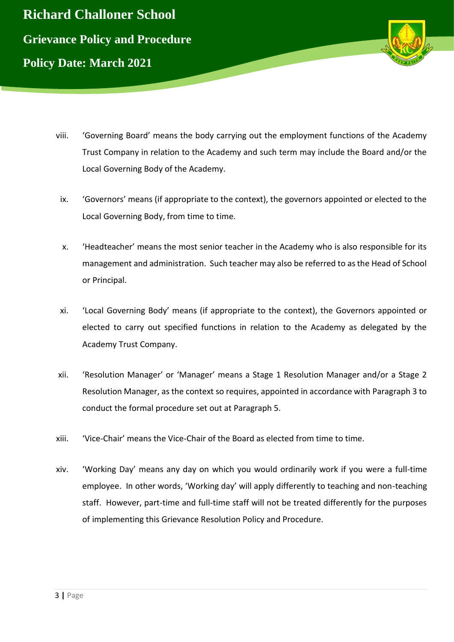



- viii. 'Governing Board' means the body carrying out the employment functions of the Academy Trust Company in relation to the Academy and such term may include the Board and/or the Local Governing Body of the Academy.
- ix. 'Governors' means (if appropriate to the context), the governors appointed or elected to the Local Governing Body, from time to time.
- x. 'Headteacher' means the most senior teacher in the Academy who is also responsible for its management and administration. Such teacher may also be referred to as the Head of School or Principal.
- xi. 'Local Governing Body' means (if appropriate to the context), the Governors appointed or elected to carry out specified functions in relation to the Academy as delegated by the Academy Trust Company.
- xii. 'Resolution Manager' or 'Manager' means a Stage 1 Resolution Manager and/or a Stage 2 Resolution Manager, as the context so requires, appointed in accordance with Paragraph 3 to conduct the formal procedure set out at Paragraph 5.
- xiii. 'Vice-Chair' means the Vice-Chair of the Board as elected from time to time.
- xiv. 'Working Day' means any day on which you would ordinarily work if you were a full-time employee. In other words, 'Working day' will apply differently to teaching and non-teaching staff. However, part-time and full-time staff will not be treated differently for the purposes of implementing this Grievance Resolution Policy and Procedure.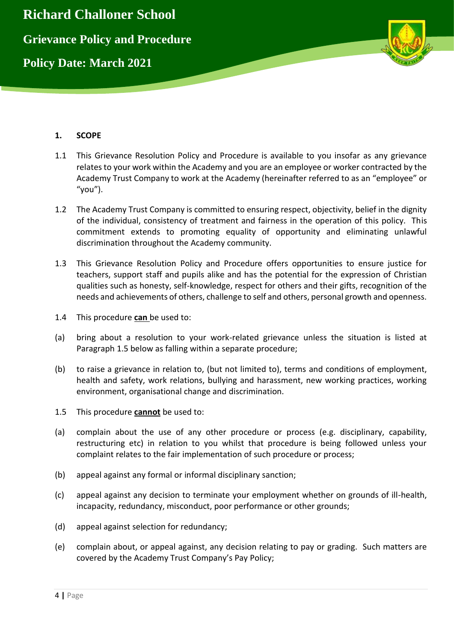

# **1. SCOPE**

- 1.1 This Grievance Resolution Policy and Procedure is available to you insofar as any grievance relates to your work within the Academy and you are an employee or worker contracted by the Academy Trust Company to work at the Academy (hereinafter referred to as an "employee" or "you").
- 1.2 The Academy Trust Company is committed to ensuring respect, objectivity, belief in the dignity of the individual, consistency of treatment and fairness in the operation of this policy. This commitment extends to promoting equality of opportunity and eliminating unlawful discrimination throughout the Academy community.
- 1.3 This Grievance Resolution Policy and Procedure offers opportunities to ensure justice for teachers, support staff and pupils alike and has the potential for the expression of Christian qualities such as honesty, self-knowledge, respect for others and their gifts, recognition of the needs and achievements of others, challenge to self and others, personal growth and openness.
- 1.4 This procedure **can** be used to:
- (a) bring about a resolution to your work-related grievance unless the situation is listed at Paragraph 1.5 below as falling within a separate procedure;
- (b) to raise a grievance in relation to, (but not limited to), terms and conditions of employment, health and safety, work relations, bullying and harassment, new working practices, working environment, organisational change and discrimination.
- 1.5 This procedure **cannot** be used to:
- (a) complain about the use of any other procedure or process (e.g. disciplinary, capability, restructuring etc) in relation to you whilst that procedure is being followed unless your complaint relates to the fair implementation of such procedure or process;
- (b) appeal against any formal or informal disciplinary sanction;
- (c) appeal against any decision to terminate your employment whether on grounds of ill-health, incapacity, redundancy, misconduct, poor performance or other grounds;
- (d) appeal against selection for redundancy;
- (e) complain about, or appeal against, any decision relating to pay or grading. Such matters are covered by the Academy Trust Company's Pay Policy;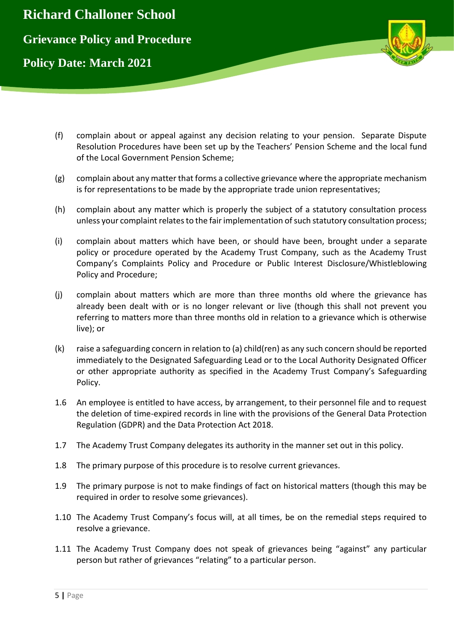

- (f) complain about or appeal against any decision relating to your pension. Separate Dispute Resolution Procedures have been set up by the Teachers' Pension Scheme and the local fund of the Local Government Pension Scheme;
- (g) complain about any matter that forms a collective grievance where the appropriate mechanism is for representations to be made by the appropriate trade union representatives;
- (h) complain about any matter which is properly the subject of a statutory consultation process unless your complaint relates to the fair implementation of such statutory consultation process;
- (i) complain about matters which have been, or should have been, brought under a separate policy or procedure operated by the Academy Trust Company, such as the Academy Trust Company's Complaints Policy and Procedure or Public Interest Disclosure/Whistleblowing Policy and Procedure;
- (j) complain about matters which are more than three months old where the grievance has already been dealt with or is no longer relevant or live (though this shall not prevent you referring to matters more than three months old in relation to a grievance which is otherwise live); or
- (k) raise a safeguarding concern in relation to (a) child(ren) as any such concern should be reported immediately to the Designated Safeguarding Lead or to the Local Authority Designated Officer or other appropriate authority as specified in the Academy Trust Company's Safeguarding Policy.
- 1.6 An employee is entitled to have access, by arrangement, to their personnel file and to request the deletion of time-expired records in line with the provisions of the General Data Protection Regulation (GDPR) and the Data Protection Act 2018.
- 1.7 The Academy Trust Company delegates its authority in the manner set out in this policy.
- 1.8 The primary purpose of this procedure is to resolve current grievances.
- 1.9 The primary purpose is not to make findings of fact on historical matters (though this may be required in order to resolve some grievances).
- 1.10 The Academy Trust Company's focus will, at all times, be on the remedial steps required to resolve a grievance.
- 1.11 The Academy Trust Company does not speak of grievances being "against" any particular person but rather of grievances "relating" to a particular person.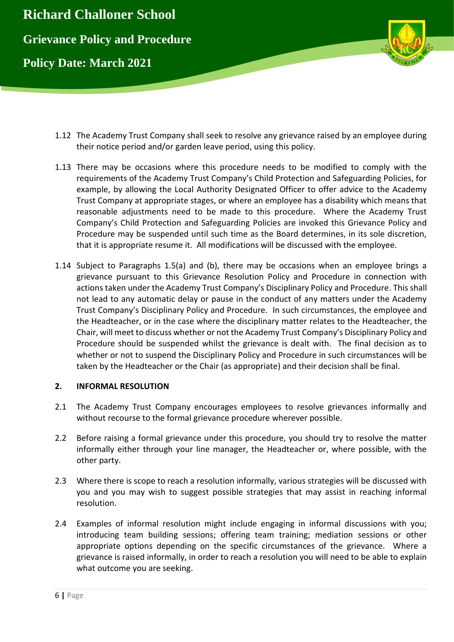

- 1.12 The Academy Trust Company shall seek to resolve any grievance raised by an employee during their notice period and/or garden leave period, using this policy.
- 1.13 There may be occasions where this procedure needs to be modified to comply with the requirements of the Academy Trust Company's Child Protection and Safeguarding Policies, for example, by allowing the Local Authority Designated Officer to offer advice to the Academy Trust Company at appropriate stages, or where an employee has a disability which means that reasonable adjustments need to be made to this procedure. Where the Academy Trust Company's Child Protection and Safeguarding Policies are invoked this Grievance Policy and Procedure may be suspended until such time as the Board determines, in its sole discretion, that it is appropriate resume it. All modifications will be discussed with the employee.
- 1.14 Subject to Paragraphs 1.5(a) and (b), there may be occasions when an employee brings a grievance pursuant to this Grievance Resolution Policy and Procedure in connection with actions taken under the Academy Trust Company's Disciplinary Policy and Procedure. This shall not lead to any automatic delay or pause in the conduct of any matters under the Academy Trust Company's Disciplinary Policy and Procedure. In such circumstances, the employee and the Headteacher, or in the case where the disciplinary matter relates to the Headteacher, the Chair, will meet to discuss whether or not the Academy Trust Company's Disciplinary Policy and Procedure should be suspended whilst the grievance is dealt with. The final decision as to whether or not to suspend the Disciplinary Policy and Procedure in such circumstances will be taken by the Headteacher or the Chair (as appropriate) and their decision shall be final.

## **2. INFORMAL RESOLUTION**

- 2.1 The Academy Trust Company encourages employees to resolve grievances informally and without recourse to the formal grievance procedure wherever possible.
- 2.2 Before raising a formal grievance under this procedure, you should try to resolve the matter informally either through your line manager, the Headteacher or, where possible, with the other party.
- 2.3 Where there is scope to reach a resolution informally, various strategies will be discussed with you and you may wish to suggest possible strategies that may assist in reaching informal resolution.
- 2.4 Examples of informal resolution might include engaging in informal discussions with you; introducing team building sessions; offering team training; mediation sessions or other appropriate options depending on the specific circumstances of the grievance. Where a grievance is raised informally, in order to reach a resolution you will need to be able to explain what outcome you are seeking.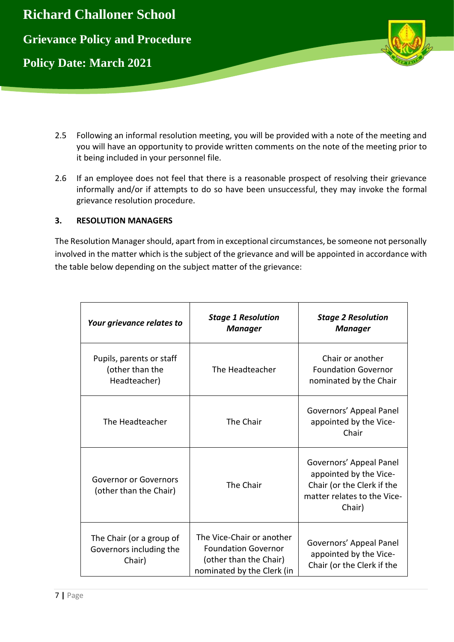

- 2.5 Following an informal resolution meeting, you will be provided with a note of the meeting and you will have an opportunity to provide written comments on the note of the meeting prior to it being included in your personnel file.
- 2.6 If an employee does not feel that there is a reasonable prospect of resolving their grievance informally and/or if attempts to do so have been unsuccessful, they may invoke the formal grievance resolution procedure.

## **3. RESOLUTION MANAGERS**

The Resolution Manager should, apart from in exceptional circumstances, be someone not personally involved in the matter which is the subject of the grievance and will be appointed in accordance with the table below depending on the subject matter of the grievance:

| Your grievance relates to                                     | <b>Stage 1 Resolution</b><br>Manager                                                                            | <b>Stage 2 Resolution</b><br>Manager                                                                                     |
|---------------------------------------------------------------|-----------------------------------------------------------------------------------------------------------------|--------------------------------------------------------------------------------------------------------------------------|
| Pupils, parents or staff<br>(other than the<br>Headteacher)   | The Headteacher                                                                                                 | Chair or another<br><b>Foundation Governor</b><br>nominated by the Chair                                                 |
| The Headteacher                                               | The Chair                                                                                                       | Governors' Appeal Panel<br>appointed by the Vice-<br>Chair                                                               |
| Governor or Governors<br>(other than the Chair)               | The Chair                                                                                                       | Governors' Appeal Panel<br>appointed by the Vice-<br>Chair (or the Clerk if the<br>matter relates to the Vice-<br>Chair) |
| The Chair (or a group of<br>Governors including the<br>Chair) | The Vice-Chair or another<br><b>Foundation Governor</b><br>(other than the Chair)<br>nominated by the Clerk (in | Governors' Appeal Panel<br>appointed by the Vice-<br>Chair (or the Clerk if the                                          |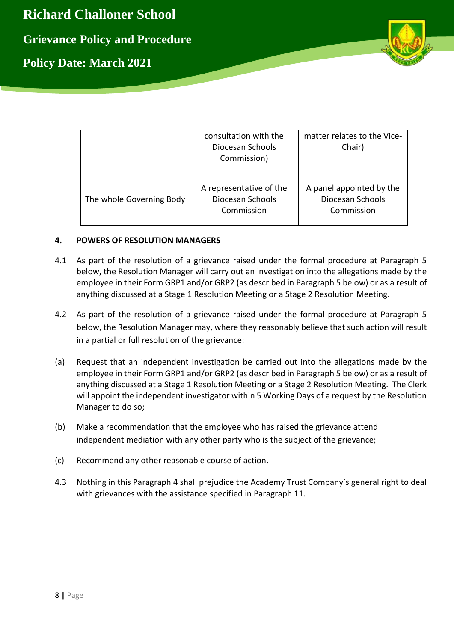**Richard Challoner School Grievance Policy and Procedure Policy Date: March 2021**



|                          | consultation with the<br>Diocesan Schools<br>Commission)  | matter relates to the Vice-<br>Chair)                      |
|--------------------------|-----------------------------------------------------------|------------------------------------------------------------|
| The whole Governing Body | A representative of the<br>Diocesan Schools<br>Commission | A panel appointed by the<br>Diocesan Schools<br>Commission |

## **4. POWERS OF RESOLUTION MANAGERS**

- 4.1 As part of the resolution of a grievance raised under the formal procedure at Paragraph 5 below, the Resolution Manager will carry out an investigation into the allegations made by the employee in their Form GRP1 and/or GRP2 (as described in Paragraph 5 below) or as a result of anything discussed at a Stage 1 Resolution Meeting or a Stage 2 Resolution Meeting.
- 4.2 As part of the resolution of a grievance raised under the formal procedure at Paragraph 5 below, the Resolution Manager may, where they reasonably believe that such action will result in a partial or full resolution of the grievance:
- (a) Request that an independent investigation be carried out into the allegations made by the employee in their Form GRP1 and/or GRP2 (as described in Paragraph 5 below) or as a result of anything discussed at a Stage 1 Resolution Meeting or a Stage 2 Resolution Meeting. The Clerk will appoint the independent investigator within 5 Working Days of a request by the Resolution Manager to do so;
- (b) Make a recommendation that the employee who has raised the grievance attend independent mediation with any other party who is the subject of the grievance;
- (c) Recommend any other reasonable course of action.
- 4.3 Nothing in this Paragraph 4 shall prejudice the Academy Trust Company's general right to deal with grievances with the assistance specified in Paragraph 11.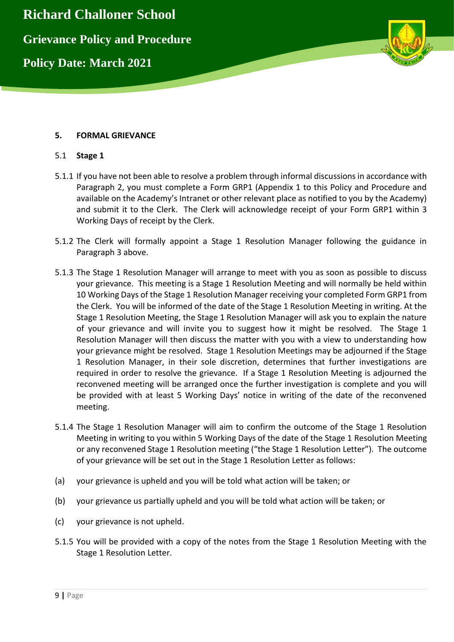

## **5. FORMAL GRIEVANCE**

#### 5.1 **Stage 1**

- 5.1.1 If you have not been able to resolve a problem through informal discussions in accordance with Paragraph 2, you must complete a Form GRP1 (Appendix 1 to this Policy and Procedure and available on the Academy's Intranet or other relevant place as notified to you by the Academy) and submit it to the Clerk. The Clerk will acknowledge receipt of your Form GRP1 within 3 Working Days of receipt by the Clerk.
- 5.1.2 The Clerk will formally appoint a Stage 1 Resolution Manager following the guidance in Paragraph 3 above.
- 5.1.3 The Stage 1 Resolution Manager will arrange to meet with you as soon as possible to discuss your grievance. This meeting is a Stage 1 Resolution Meeting and will normally be held within 10 Working Days of the Stage 1 Resolution Manager receiving your completed Form GRP1 from the Clerk. You will be informed of the date of the Stage 1 Resolution Meeting in writing. At the Stage 1 Resolution Meeting, the Stage 1 Resolution Manager will ask you to explain the nature of your grievance and will invite you to suggest how it might be resolved. The Stage 1 Resolution Manager will then discuss the matter with you with a view to understanding how your grievance might be resolved. Stage 1 Resolution Meetings may be adjourned if the Stage 1 Resolution Manager, in their sole discretion, determines that further investigations are required in order to resolve the grievance. If a Stage 1 Resolution Meeting is adjourned the reconvened meeting will be arranged once the further investigation is complete and you will be provided with at least 5 Working Days' notice in writing of the date of the reconvened meeting.
- 5.1.4 The Stage 1 Resolution Manager will aim to confirm the outcome of the Stage 1 Resolution Meeting in writing to you within 5 Working Days of the date of the Stage 1 Resolution Meeting or any reconvened Stage 1 Resolution meeting ("the Stage 1 Resolution Letter"). The outcome of your grievance will be set out in the Stage 1 Resolution Letter as follows:
- (a) your grievance is upheld and you will be told what action will be taken; or
- (b) your grievance us partially upheld and you will be told what action will be taken; or
- (c) your grievance is not upheld.
- 5.1.5 You will be provided with a copy of the notes from the Stage 1 Resolution Meeting with the Stage 1 Resolution Letter.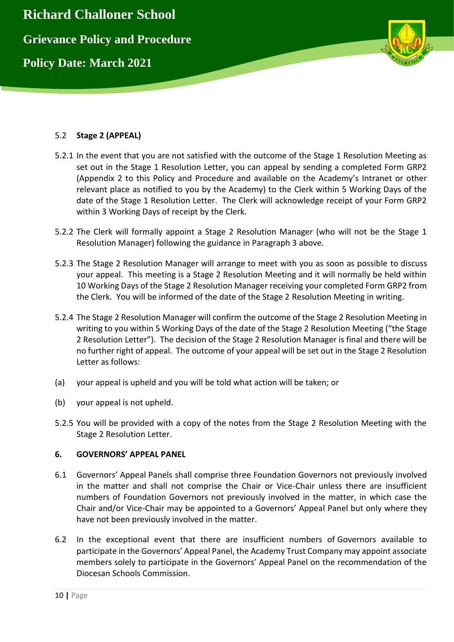

## 5.2 **Stage 2 (APPEAL)**

- 5.2.1 In the event that you are not satisfied with the outcome of the Stage 1 Resolution Meeting as set out in the Stage 1 Resolution Letter, you can appeal by sending a completed Form GRP2 (Appendix 2 to this Policy and Procedure and available on the Academy's Intranet or other relevant place as notified to you by the Academy) to the Clerk within 5 Working Days of the date of the Stage 1 Resolution Letter. The Clerk will acknowledge receipt of your Form GRP2 within 3 Working Days of receipt by the Clerk.
- 5.2.2 The Clerk will formally appoint a Stage 2 Resolution Manager (who will not be the Stage 1 Resolution Manager) following the guidance in Paragraph 3 above.
- 5.2.3 The Stage 2 Resolution Manager will arrange to meet with you as soon as possible to discuss your appeal. This meeting is a Stage 2 Resolution Meeting and it will normally be held within 10 Working Days of the Stage 2 Resolution Manager receiving your completed Form GRP2 from the Clerk. You will be informed of the date of the Stage 2 Resolution Meeting in writing.
- 5.2.4 The Stage 2 Resolution Manager will confirm the outcome of the Stage 2 Resolution Meeting in writing to you within 5 Working Days of the date of the Stage 2 Resolution Meeting ("the Stage 2 Resolution Letter"). The decision of the Stage 2 Resolution Manager is final and there will be no further right of appeal. The outcome of your appeal will be set out in the Stage 2 Resolution Letter as follows:
- (a) your appeal is upheld and you will be told what action will be taken; or
- (b) your appeal is not upheld.
- 5.2.5 You will be provided with a copy of the notes from the Stage 2 Resolution Meeting with the Stage 2 Resolution Letter.

## **6. GOVERNORS' APPEAL PANEL**

- 6.1 Governors' Appeal Panels shall comprise three Foundation Governors not previously involved in the matter and shall not comprise the Chair or Vice-Chair unless there are insufficient numbers of Foundation Governors not previously involved in the matter, in which case the Chair and/or Vice-Chair may be appointed to a Governors' Appeal Panel but only where they have not been previously involved in the matter.
- 6.2 In the exceptional event that there are insufficient numbers of Governors available to participate in the Governors' Appeal Panel, the Academy Trust Company may appoint associate members solely to participate in the Governors' Appeal Panel on the recommendation of the Diocesan Schools Commission.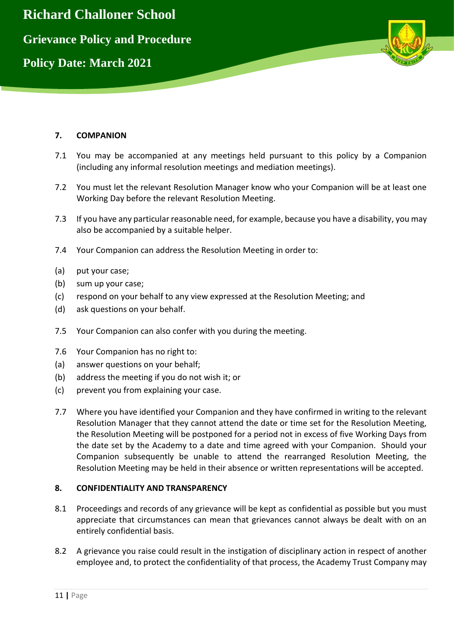

## **7. COMPANION**

- 7.1 You may be accompanied at any meetings held pursuant to this policy by a Companion (including any informal resolution meetings and mediation meetings).
- 7.2 You must let the relevant Resolution Manager know who your Companion will be at least one Working Day before the relevant Resolution Meeting.
- 7.3 If you have any particular reasonable need, for example, because you have a disability, you may also be accompanied by a suitable helper.
- 7.4 Your Companion can address the Resolution Meeting in order to:
- (a) put your case;
- (b) sum up your case;
- (c) respond on your behalf to any view expressed at the Resolution Meeting; and
- (d) ask questions on your behalf.
- 7.5 Your Companion can also confer with you during the meeting.
- 7.6 Your Companion has no right to:
- (a) answer questions on your behalf;
- (b) address the meeting if you do not wish it; or
- (c) prevent you from explaining your case.
- 7.7 Where you have identified your Companion and they have confirmed in writing to the relevant Resolution Manager that they cannot attend the date or time set for the Resolution Meeting, the Resolution Meeting will be postponed for a period not in excess of five Working Days from the date set by the Academy to a date and time agreed with your Companion. Should your Companion subsequently be unable to attend the rearranged Resolution Meeting, the Resolution Meeting may be held in their absence or written representations will be accepted.

## **8. CONFIDENTIALITY AND TRANSPARENCY**

- 8.1 Proceedings and records of any grievance will be kept as confidential as possible but you must appreciate that circumstances can mean that grievances cannot always be dealt with on an entirely confidential basis.
- 8.2 A grievance you raise could result in the instigation of disciplinary action in respect of another employee and, to protect the confidentiality of that process, the Academy Trust Company may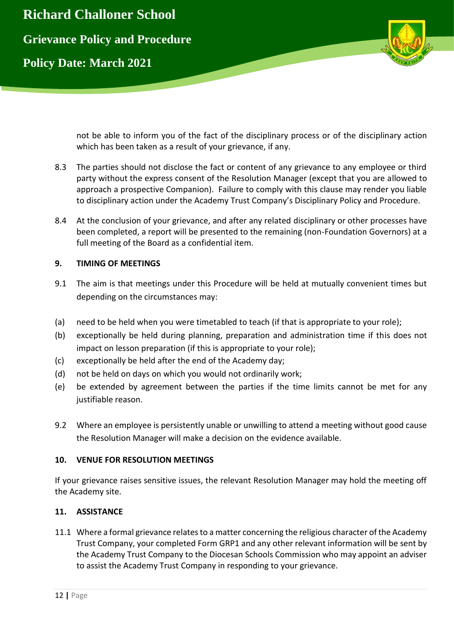

not be able to inform you of the fact of the disciplinary process or of the disciplinary action which has been taken as a result of your grievance, if any.

- 8.3 The parties should not disclose the fact or content of any grievance to any employee or third party without the express consent of the Resolution Manager (except that you are allowed to approach a prospective Companion). Failure to comply with this clause may render you liable to disciplinary action under the Academy Trust Company's Disciplinary Policy and Procedure.
- 8.4 At the conclusion of your grievance, and after any related disciplinary or other processes have been completed, a report will be presented to the remaining (non-Foundation Governors) at a full meeting of the Board as a confidential item.

# **9. TIMING OF MEETINGS**

- 9.1 The aim is that meetings under this Procedure will be held at mutually convenient times but depending on the circumstances may:
- (a) need to be held when you were timetabled to teach (if that is appropriate to your role);
- (b) exceptionally be held during planning, preparation and administration time if this does not impact on lesson preparation (if this is appropriate to your role);
- (c) exceptionally be held after the end of the Academy day;
- (d) not be held on days on which you would not ordinarily work;
- (e) be extended by agreement between the parties if the time limits cannot be met for any justifiable reason.
- 9.2 Where an employee is persistently unable or unwilling to attend a meeting without good cause the Resolution Manager will make a decision on the evidence available.

## **10. VENUE FOR RESOLUTION MEETINGS**

If your grievance raises sensitive issues, the relevant Resolution Manager may hold the meeting off the Academy site.

## **11. ASSISTANCE**

11.1 Where a formal grievance relates to a matter concerning the religious character of the Academy Trust Company, your completed Form GRP1 and any other relevant information will be sent by the Academy Trust Company to the Diocesan Schools Commission who may appoint an adviser to assist the Academy Trust Company in responding to your grievance.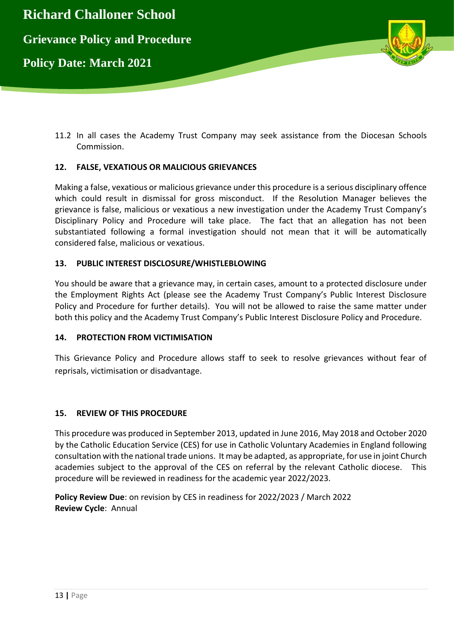

11.2 In all cases the Academy Trust Company may seek assistance from the Diocesan Schools Commission.

## **12. FALSE, VEXATIOUS OR MALICIOUS GRIEVANCES**

Making a false, vexatious or malicious grievance under this procedure is a serious disciplinary offence which could result in dismissal for gross misconduct. If the Resolution Manager believes the grievance is false, malicious or vexatious a new investigation under the Academy Trust Company's Disciplinary Policy and Procedure will take place. The fact that an allegation has not been substantiated following a formal investigation should not mean that it will be automatically considered false, malicious or vexatious.

## **13. PUBLIC INTEREST DISCLOSURE/WHISTLEBLOWING**

You should be aware that a grievance may, in certain cases, amount to a protected disclosure under the Employment Rights Act (please see the Academy Trust Company's Public Interest Disclosure Policy and Procedure for further details). You will not be allowed to raise the same matter under both this policy and the Academy Trust Company's Public Interest Disclosure Policy and Procedure.

## **14. PROTECTION FROM VICTIMISATION**

This Grievance Policy and Procedure allows staff to seek to resolve grievances without fear of reprisals, victimisation or disadvantage.

## **15. REVIEW OF THIS PROCEDURE**

This procedure was produced in September 2013, updated in June 2016, May 2018 and October 2020 by the Catholic Education Service (CES) for use in Catholic Voluntary Academies in England following consultation with the national trade unions. It may be adapted, as appropriate, for use in joint Church academies subject to the approval of the CES on referral by the relevant Catholic diocese. This procedure will be reviewed in readiness for the academic year 2022/2023.

**Policy Review Due**: on revision by CES in readiness for 2022/2023 / March 2022 **Review Cycle**: Annual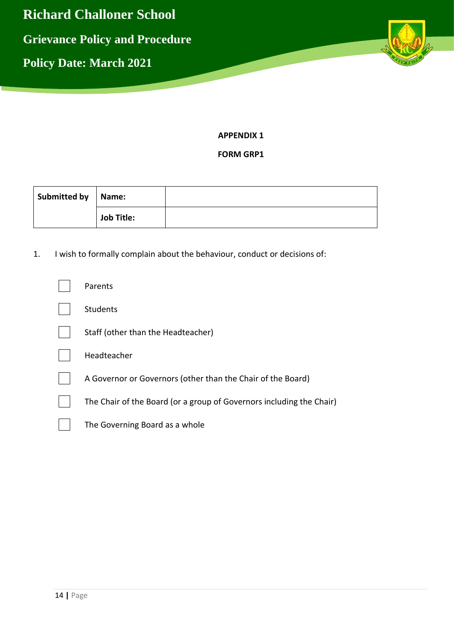

**APPENDIX 1**

**FORM GRP1**

| Submitted by | Name:             |  |
|--------------|-------------------|--|
|              | <b>Job Title:</b> |  |

1. I wish to formally complain about the behaviour, conduct or decisions of:

| Parents                                                              |
|----------------------------------------------------------------------|
| <b>Students</b>                                                      |
| Staff (other than the Headteacher)                                   |
| Headteacher                                                          |
| A Governor or Governors (other than the Chair of the Board)          |
| The Chair of the Board (or a group of Governors including the Chair) |
| The Governing Board as a whole                                       |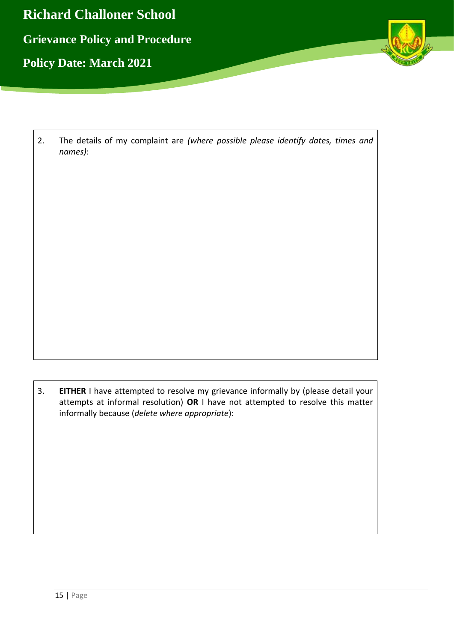

2. The details of my complaint are *(where possible please identify dates, times and names)*:

3. **EITHER** I have attempted to resolve my grievance informally by (please detail your attempts at informal resolution) **OR** I have not attempted to resolve this matter informally because (*delete where appropriate*):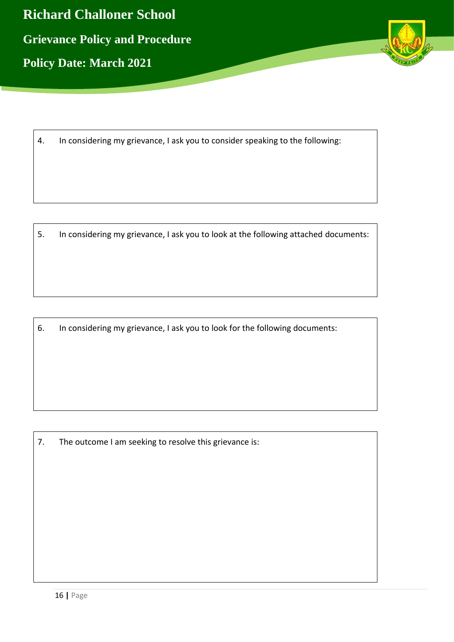

4. In considering my grievance, I ask you to consider speaking to the following:

5. In considering my grievance, I ask you to look at the following attached documents:

6. In considering my grievance, I ask you to look for the following documents:

7. The outcome I am seeking to resolve this grievance is: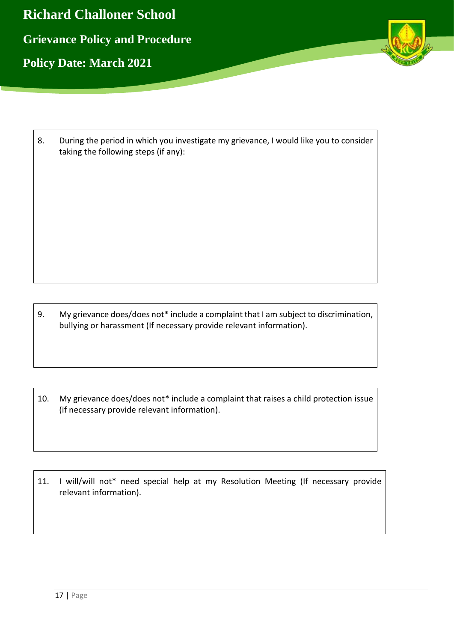

| During the period in which you investigate my grievance, I would like you to consider |
|---------------------------------------------------------------------------------------|
| taking the following steps (if any):                                                  |

9. My grievance does/does not\* include a complaint that I am subject to discrimination, bullying or harassment (If necessary provide relevant information).

10. My grievance does/does not\* include a complaint that raises a child protection issue (if necessary provide relevant information).

11. I will/will not\* need special help at my Resolution Meeting (If necessary provide relevant information).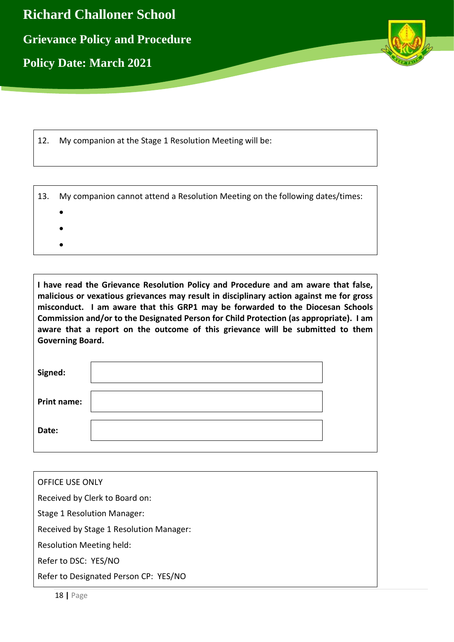

12. My companion at the Stage 1 Resolution Meeting will be:

|  | 13. My companion cannot attend a Resolution Meeting on the following dates/times: |  |
|--|-----------------------------------------------------------------------------------|--|
|--|-----------------------------------------------------------------------------------|--|

- $\bullet$
- $\bullet$
- $\bullet$
- **I have read the Grievance Resolution Policy and Procedure and am aware that false, malicious or vexatious grievances may result in disciplinary action against me for gross misconduct. I am aware that this GRP1 may be forwarded to the Diocesan Schools Commission and/or to the Designated Person for Child Protection (as appropriate). I am aware that a report on the outcome of this grievance will be submitted to them Governing Board.**

| Signed:            |  |
|--------------------|--|
| <b>Print name:</b> |  |
| Date:              |  |

| <b>OFFICE USE ONLY</b>                  |  |
|-----------------------------------------|--|
| Received by Clerk to Board on:          |  |
| Stage 1 Resolution Manager:             |  |
| Received by Stage 1 Resolution Manager: |  |
| Resolution Meeting held:                |  |
| Refer to DSC: YES/NO                    |  |
| Refer to Designated Person CP: YES/NO   |  |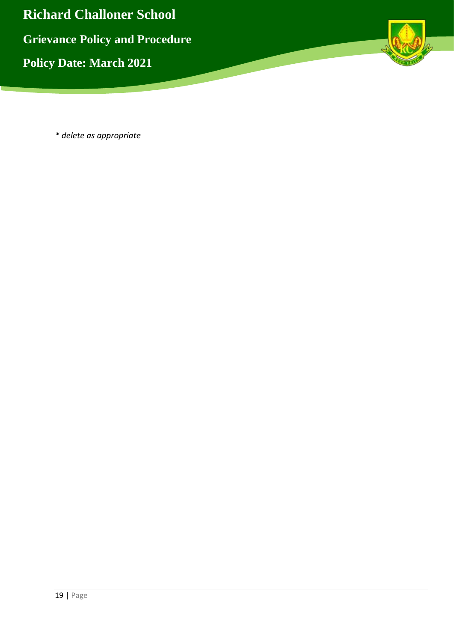

*\* delete as appropriate*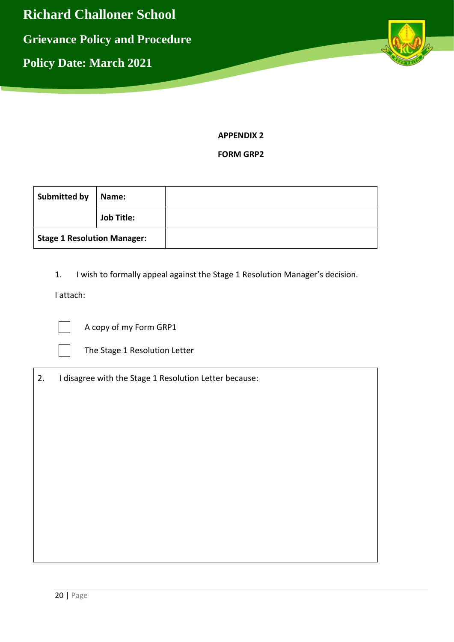

**APPENDIX 2**

**FORM GRP2**

| <b>Submitted by</b>                | Name:             |  |
|------------------------------------|-------------------|--|
|                                    | <b>Job Title:</b> |  |
| <b>Stage 1 Resolution Manager:</b> |                   |  |

1. I wish to formally appeal against the Stage 1 Resolution Manager's decision.

I attach:

A copy of my Form GRP1



The Stage 1 Resolution Letter

2. I disagree with the Stage 1 Resolution Letter because: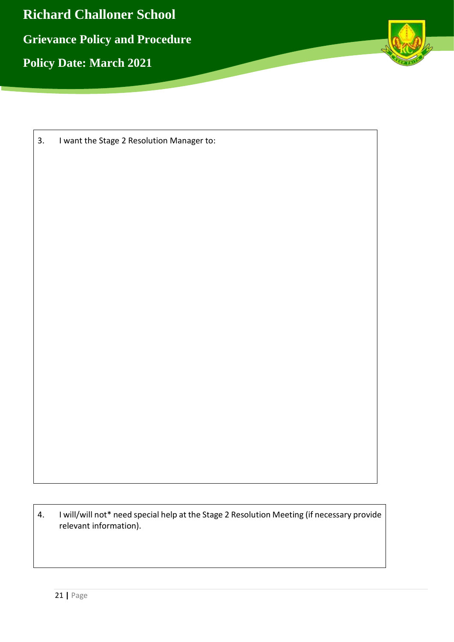

| 3. | I want the Stage 2 Resolution Manager to: |  |
|----|-------------------------------------------|--|
|----|-------------------------------------------|--|

4. I will/will not\* need special help at the Stage 2 Resolution Meeting (if necessary provide relevant information).